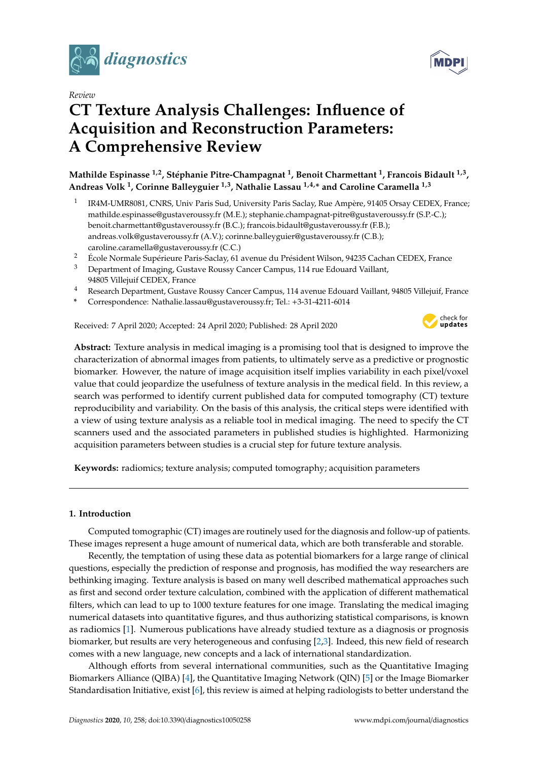

*Review*

# **CT Texture Analysis Challenges: Influence of Acquisition and Reconstruction Parameters: A Comprehensive Review**

**Mathilde Espinasse 1,2, Stéphanie Pitre-Champagnat <sup>1</sup> , Benoit Charmettant <sup>1</sup> , Francois Bidault 1,3 , Andreas Volk <sup>1</sup> , Corinne Balleyguier 1,3, Nathalie Lassau 1,4,\* and Caroline Caramella 1,3**

- 1 IR4M-UMR8081, CNRS, Univ Paris Sud, University Paris Saclay, Rue Ampère, 91405 Orsay CEDEX, France; mathilde.espinasse@gustaveroussy.fr (M.E.); stephanie.champagnat-pitre@gustaveroussy.fr (S.P.-C.); benoit.charmettant@gustaveroussy.fr (B.C.); francois.bidault@gustaveroussy.fr (F.B.); andreas.volk@gustaveroussy.fr (A.V.); corinne.balleyguier@gustaveroussy.fr (C.B.); caroline.caramella@gustaveroussy.fr (C.C.)
- <sup>2</sup> École Normale Supérieure Paris-Saclay, 61 avenue du Président Wilson, 94235 Cachan CEDEX, France
- <sup>3</sup> Department of Imaging, Gustave Roussy Cancer Campus, 114 rue Edouard Vaillant, 94805 Villejuif CEDEX, France
- <sup>4</sup> Research Department, Gustave Roussy Cancer Campus, 114 avenue Edouard Vaillant, 94805 Villejuif, France
- **\*** Correspondence: Nathalie.lassau@gustaveroussy.fr; Tel.: +3-31-4211-6014

Received: 7 April 2020; Accepted: 24 April 2020; Published: 28 April 2020



**Abstract:** Texture analysis in medical imaging is a promising tool that is designed to improve the characterization of abnormal images from patients, to ultimately serve as a predictive or prognostic biomarker. However, the nature of image acquisition itself implies variability in each pixel/voxel value that could jeopardize the usefulness of texture analysis in the medical field. In this review, a search was performed to identify current published data for computed tomography (CT) texture reproducibility and variability. On the basis of this analysis, the critical steps were identified with a view of using texture analysis as a reliable tool in medical imaging. The need to specify the CT scanners used and the associated parameters in published studies is highlighted. Harmonizing acquisition parameters between studies is a crucial step for future texture analysis.

**Keywords:** radiomics; texture analysis; computed tomography; acquisition parameters

# **1. Introduction**

Computed tomographic (CT) images are routinely used for the diagnosis and follow-up of patients. These images represent a huge amount of numerical data, which are both transferable and storable.

Recently, the temptation of using these data as potential biomarkers for a large range of clinical questions, especially the prediction of response and prognosis, has modified the way researchers are bethinking imaging. Texture analysis is based on many well described mathematical approaches such as first and second order texture calculation, combined with the application of different mathematical filters, which can lead to up to 1000 texture features for one image. Translating the medical imaging numerical datasets into quantitative figures, and thus authorizing statistical comparisons, is known as radiomics [\[1\]](#page-6-0). Numerous publications have already studied texture as a diagnosis or prognosis biomarker, but results are very heterogeneous and confusing [\[2](#page-6-1)[,3\]](#page-6-2). Indeed, this new field of research comes with a new language, new concepts and a lack of international standardization.

Although efforts from several international communities, such as the Quantitative Imaging Biomarkers Alliance (QIBA) [\[4\]](#page-6-3), the Quantitative Imaging Network (QIN) [\[5\]](#page-6-4) or the Image Biomarker Standardisation Initiative, exist [\[6\]](#page-6-5), this review is aimed at helping radiologists to better understand the

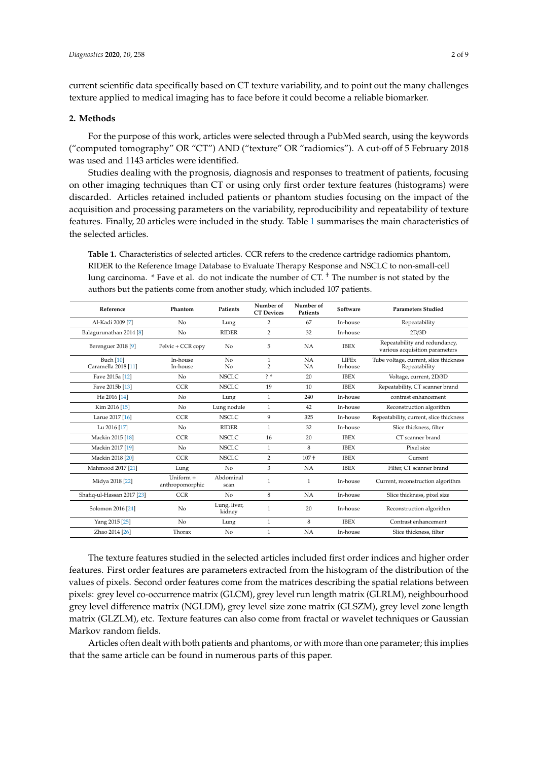current scientific data specifically based on CT texture variability, and to point out the many challenges texture applied to medical imaging has to face before it could become a reliable biomarker.

# **2. Methods**

For the purpose of this work, articles were selected through a PubMed search, using the keywords ("computed tomography" OR "CT") AND ("texture" OR "radiomics"). A cut-off of 5 February 2018 was used and 1143 articles were identified.

Studies dealing with the prognosis, diagnosis and responses to treatment of patients, focusing on other imaging techniques than CT or using only first order texture features (histograms) were discarded. Articles retained included patients or phantom studies focusing on the impact of the acquisition and processing parameters on the variability, reproducibility and repeatability of texture features. Finally, 20 articles were included in the study. Table [1](#page-1-0) summarises the main characteristics of the selected articles.

<span id="page-1-0"></span>**Table 1.** Characteristics of selected articles. CCR refers to the credence cartridge radiomics phantom, RIDER to the Reference Image Database to Evaluate Therapy Response and NSCLC to non-small-cell lung carcinoma.  $*$  Fave et al. do not indicate the number of CT.  $<sup>†</sup>$  The number is not stated by the</sup> authors but the patients come from another study, which included 107 patients.

| Reference                          | Phantom                        | <b>Patients</b>        | Number of<br><b>CT</b> Devices | Number of<br><b>Patients</b> | Software                 | <b>Parameters Studied</b>                                       |
|------------------------------------|--------------------------------|------------------------|--------------------------------|------------------------------|--------------------------|-----------------------------------------------------------------|
| Al-Kadi 2009 [7]                   | No                             | Lung                   | $\overline{2}$                 | 67                           | In-house                 | Repeatability                                                   |
| Balagurunathan 2014 [8]            | N <sub>o</sub>                 | <b>RIDER</b>           | $\overline{2}$                 | 32                           | In-house                 | 2D/3D                                                           |
| Berenguer 2018 [9]                 | Pelvic + CCR copy              | No                     | 5                              | <b>NA</b>                    | <b>IBEX</b>              | Repeatability and redundancy,<br>various acquisition parameters |
| Buch $[10]$<br>Caramella 2018 [11] | In-house<br>In-house           | No<br>No               | 1<br>$\overline{2}$            | NA<br>NA                     | <b>LIFEx</b><br>In-house | Tube voltage, current, slice thickness<br>Repeatability         |
| Fave 2015a [12]                    | No                             | <b>NSCLC</b>           | $2*$                           | 20                           | <b>IBEX</b>              | Voltage, current, 2D/3D                                         |
| Fave 2015b [13]                    | <b>CCR</b>                     | <b>NSCLC</b>           | 19                             | 10                           | <b>IBEX</b>              | Repeatability, CT scanner brand                                 |
| He 2016 [14]                       | No                             | Lung                   | 1                              | 240                          | In-house                 | contrast enhancement                                            |
| Kim 2016 [15]                      | N <sub>0</sub>                 | Lung nodule            | 1                              | 42                           | In-house                 | Reconstruction algorithm                                        |
| Larue 2017 [16]                    | <b>CCR</b>                     | NSCLC.                 | 9                              | 325                          | In-house                 | Repeatability, current, slice thickness                         |
| Lu 2016 [17]                       | No                             | <b>RIDER</b>           | 1                              | 32                           | In-house                 | Slice thickness, filter                                         |
| Mackin 2015 [18]                   | <b>CCR</b>                     | <b>NSCLC</b>           | 16                             | 20                           | <b>IBEX</b>              | CT scanner brand                                                |
| Mackin 2017 [19]                   | No                             | <b>NSCLC</b>           | $\mathbf{1}$                   | 8                            | <b>IBEX</b>              | Pixel size                                                      |
| Mackin 2018 [20]                   | <b>CCR</b>                     | <b>NSCLC</b>           | $\overline{2}$                 | $107 +$                      | <b>IBEX</b>              | Current                                                         |
| Mahmood 2017 [21]                  | Lung                           | No                     | 3                              | <b>NA</b>                    | <b>IBEX</b>              | Filter, CT scanner brand                                        |
| Midya 2018 [22]                    | $Uniform +$<br>anthropomorphic | Abdominal<br>scan      | 1                              | 1                            | In-house                 | Current, reconstruction algorithm                               |
| Shafiq-ul-Hassan 2017 [23]         | <b>CCR</b>                     | N <sub>o</sub>         | 8                              | NA                           | In-house                 | Slice thickness, pixel size                                     |
| Solomon 2016 [24]                  | N <sub>o</sub>                 | Lung, liver,<br>kidney | 1                              | 20                           | In-house                 | Reconstruction algorithm                                        |
| Yang 2015 [25]                     | N <sub>o</sub>                 | Lung                   | $\mathbf{1}$                   | 8                            | <b>IBEX</b>              | Contrast enhancement                                            |
| Zhao 2014 [26]                     | Thorax                         | No                     | 1                              | <b>NA</b>                    | In-house                 | Slice thickness, filter                                         |

The texture features studied in the selected articles included first order indices and higher order features. First order features are parameters extracted from the histogram of the distribution of the values of pixels. Second order features come from the matrices describing the spatial relations between pixels: grey level co-occurrence matrix (GLCM), grey level run length matrix (GLRLM), neighbourhood grey level difference matrix (NGLDM), grey level size zone matrix (GLSZM), grey level zone length matrix (GLZLM), etc. Texture features can also come from fractal or wavelet techniques or Gaussian Markov random fields.

Articles often dealt with both patients and phantoms, or with more than one parameter; this implies that the same article can be found in numerous parts of this paper.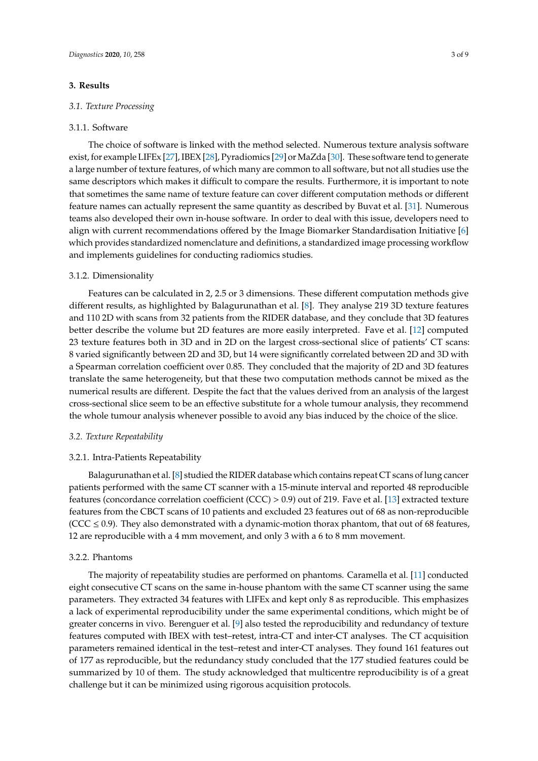## **3. Results**

## *3.1. Texture Processing*

#### 3.1.1. Software

The choice of software is linked with the method selected. Numerous texture analysis software exist, for example LIFEx [\[27\]](#page-7-13), IBEX [\[28\]](#page-7-14), Pyradiomics [\[29\]](#page-7-15) or MaZda [\[30\]](#page-7-16). These software tend to generate a large number of texture features, of which many are common to all software, but not all studies use the same descriptors which makes it difficult to compare the results. Furthermore, it is important to note that sometimes the same name of texture feature can cover different computation methods or different feature names can actually represent the same quantity as described by Buvat et al. [\[31\]](#page-7-17). Numerous teams also developed their own in-house software. In order to deal with this issue, developers need to align with current recommendations offered by the Image Biomarker Standardisation Initiative [\[6\]](#page-6-5) which provides standardized nomenclature and definitions, a standardized image processing workflow and implements guidelines for conducting radiomics studies.

### 3.1.2. Dimensionality

Features can be calculated in 2, 2.5 or 3 dimensions. These different computation methods give different results, as highlighted by Balagurunathan et al. [\[8\]](#page-6-7). They analyse 219 3D texture features and 110 2D with scans from 32 patients from the RIDER database, and they conclude that 3D features better describe the volume but 2D features are more easily interpreted. Fave et al. [\[12\]](#page-6-11) computed 23 texture features both in 3D and in 2D on the largest cross-sectional slice of patients' CT scans: 8 varied significantly between 2D and 3D, but 14 were significantly correlated between 2D and 3D with a Spearman correlation coefficient over 0.85. They concluded that the majority of 2D and 3D features translate the same heterogeneity, but that these two computation methods cannot be mixed as the numerical results are different. Despite the fact that the values derived from an analysis of the largest cross-sectional slice seem to be an effective substitute for a whole tumour analysis, they recommend the whole tumour analysis whenever possible to avoid any bias induced by the choice of the slice.

#### *3.2. Texture Repeatability*

## 3.2.1. Intra-Patients Repeatability

Balagurunathan et al. [\[8\]](#page-6-7) studied the RIDER database which contains repeat CT scans of lung cancer patients performed with the same CT scanner with a 15-minute interval and reported 48 reproducible features (concordance correlation coefficient (CCC) > 0.9) out of 219. Fave et al. [\[13\]](#page-6-12) extracted texture features from the CBCT scans of 10 patients and excluded 23 features out of 68 as non-reproducible (CCC  $\leq$  0.9). They also demonstrated with a dynamic-motion thorax phantom, that out of 68 features, 12 are reproducible with a 4 mm movement, and only 3 with a 6 to 8 mm movement.

# 3.2.2. Phantoms

The majority of repeatability studies are performed on phantoms. Caramella et al. [\[11\]](#page-6-10) conducted eight consecutive CT scans on the same in-house phantom with the same CT scanner using the same parameters. They extracted 34 features with LIFEx and kept only 8 as reproducible. This emphasizes a lack of experimental reproducibility under the same experimental conditions, which might be of greater concerns in vivo. Berenguer et al. [\[9\]](#page-6-8) also tested the reproducibility and redundancy of texture features computed with IBEX with test–retest, intra-CT and inter-CT analyses. The CT acquisition parameters remained identical in the test–retest and inter-CT analyses. They found 161 features out of 177 as reproducible, but the redundancy study concluded that the 177 studied features could be summarized by 10 of them. The study acknowledged that multicentre reproducibility is of a great challenge but it can be minimized using rigorous acquisition protocols.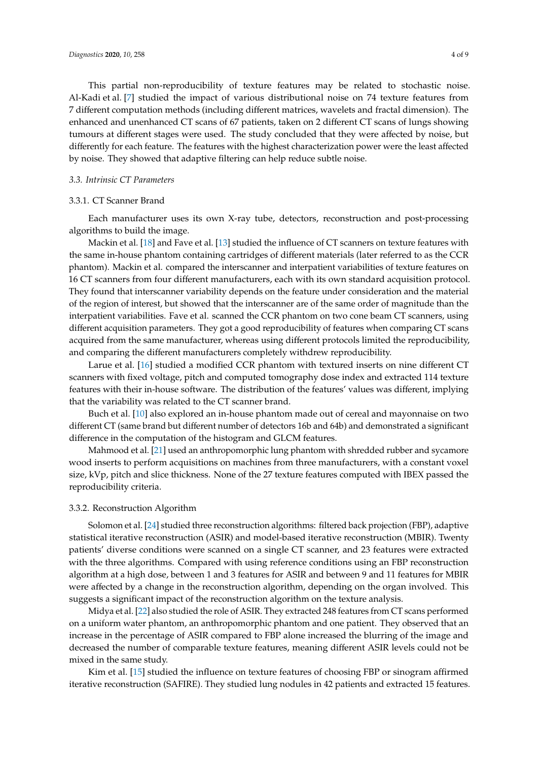This partial non-reproducibility of texture features may be related to stochastic noise. Al-Kadi et al. [\[7\]](#page-6-6) studied the impact of various distributional noise on 74 texture features from 7 different computation methods (including different matrices, wavelets and fractal dimension). The enhanced and unenhanced CT scans of 67 patients, taken on 2 different CT scans of lungs showing

tumours at different stages were used. The study concluded that they were affected by noise, but differently for each feature. The features with the highest characterization power were the least affected by noise. They showed that adaptive filtering can help reduce subtle noise.

# *3.3. Intrinsic CT Parameters*

#### 3.3.1. CT Scanner Brand

Each manufacturer uses its own X-ray tube, detectors, reconstruction and post-processing algorithms to build the image.

Mackin et al. [\[18\]](#page-7-4) and Fave et al. [\[13\]](#page-6-12) studied the influence of CT scanners on texture features with the same in-house phantom containing cartridges of different materials (later referred to as the CCR phantom). Mackin et al. compared the interscanner and interpatient variabilities of texture features on 16 CT scanners from four different manufacturers, each with its own standard acquisition protocol. They found that interscanner variability depends on the feature under consideration and the material of the region of interest, but showed that the interscanner are of the same order of magnitude than the interpatient variabilities. Fave et al. scanned the CCR phantom on two cone beam CT scanners, using different acquisition parameters. They got a good reproducibility of features when comparing CT scans acquired from the same manufacturer, whereas using different protocols limited the reproducibility, and comparing the different manufacturers completely withdrew reproducibility.

Larue et al. [\[16\]](#page-7-2) studied a modified CCR phantom with textured inserts on nine different CT scanners with fixed voltage, pitch and computed tomography dose index and extracted 114 texture features with their in-house software. The distribution of the features' values was different, implying that the variability was related to the CT scanner brand.

Buch et al. [\[10\]](#page-6-9) also explored an in-house phantom made out of cereal and mayonnaise on two different CT (same brand but different number of detectors 16b and 64b) and demonstrated a significant difference in the computation of the histogram and GLCM features.

Mahmood et al. [\[21\]](#page-7-7) used an anthropomorphic lung phantom with shredded rubber and sycamore wood inserts to perform acquisitions on machines from three manufacturers, with a constant voxel size, kVp, pitch and slice thickness. None of the 27 texture features computed with IBEX passed the reproducibility criteria.

# 3.3.2. Reconstruction Algorithm

Solomon et al. [\[24\]](#page-7-10) studied three reconstruction algorithms: filtered back projection (FBP), adaptive statistical iterative reconstruction (ASIR) and model-based iterative reconstruction (MBIR). Twenty patients' diverse conditions were scanned on a single CT scanner, and 23 features were extracted with the three algorithms. Compared with using reference conditions using an FBP reconstruction algorithm at a high dose, between 1 and 3 features for ASIR and between 9 and 11 features for MBIR were affected by a change in the reconstruction algorithm, depending on the organ involved. This suggests a significant impact of the reconstruction algorithm on the texture analysis.

Midya et al. [\[22\]](#page-7-8) also studied the role of ASIR. They extracted 248 features from CT scans performed on a uniform water phantom, an anthropomorphic phantom and one patient. They observed that an increase in the percentage of ASIR compared to FBP alone increased the blurring of the image and decreased the number of comparable texture features, meaning different ASIR levels could not be mixed in the same study.

Kim et al. [\[15\]](#page-7-1) studied the influence on texture features of choosing FBP or sinogram affirmed iterative reconstruction (SAFIRE). They studied lung nodules in 42 patients and extracted 15 features.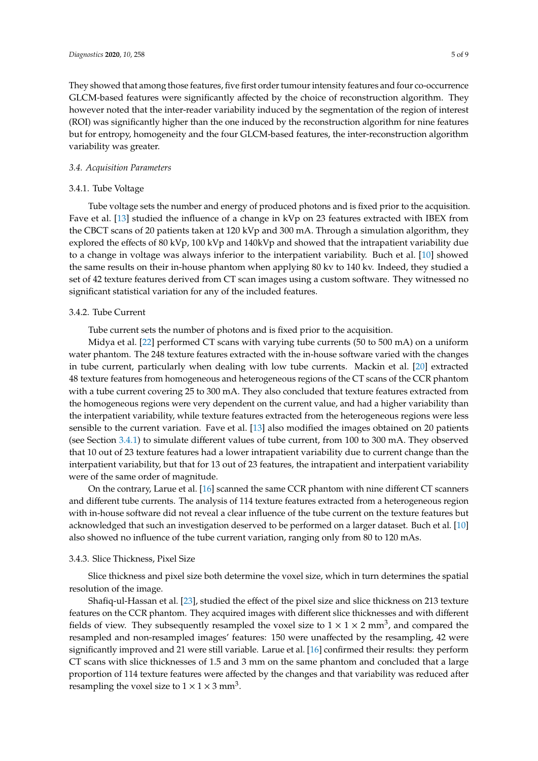They showed that among those features, five first order tumour intensity features and four co-occurrence GLCM-based features were significantly affected by the choice of reconstruction algorithm. They however noted that the inter-reader variability induced by the segmentation of the region of interest (ROI) was significantly higher than the one induced by the reconstruction algorithm for nine features but for entropy, homogeneity and the four GLCM-based features, the inter-reconstruction algorithm variability was greater.

# *3.4. Acquisition Parameters*

# <span id="page-4-0"></span>3.4.1. Tube Voltage

Tube voltage sets the number and energy of produced photons and is fixed prior to the acquisition. Fave et al. [\[13\]](#page-6-12) studied the influence of a change in kVp on 23 features extracted with IBEX from the CBCT scans of 20 patients taken at 120 kVp and 300 mA. Through a simulation algorithm, they explored the effects of 80 kVp, 100 kVp and 140kVp and showed that the intrapatient variability due to a change in voltage was always inferior to the interpatient variability. Buch et al. [\[10\]](#page-6-9) showed the same results on their in-house phantom when applying 80 kv to 140 kv. Indeed, they studied a set of 42 texture features derived from CT scan images using a custom software. They witnessed no significant statistical variation for any of the included features.

# 3.4.2. Tube Current

Tube current sets the number of photons and is fixed prior to the acquisition.

Midya et al. [\[22\]](#page-7-8) performed CT scans with varying tube currents (50 to 500 mA) on a uniform water phantom. The 248 texture features extracted with the in-house software varied with the changes in tube current, particularly when dealing with low tube currents. Mackin et al. [\[20\]](#page-7-6) extracted 48 texture features from homogeneous and heterogeneous regions of the CT scans of the CCR phantom with a tube current covering 25 to 300 mA. They also concluded that texture features extracted from the homogeneous regions were very dependent on the current value, and had a higher variability than the interpatient variability, while texture features extracted from the heterogeneous regions were less sensible to the current variation. Fave et al. [\[13\]](#page-6-12) also modified the images obtained on 20 patients (see Section [3.4.1\)](#page-4-0) to simulate different values of tube current, from 100 to 300 mA. They observed that 10 out of 23 texture features had a lower intrapatient variability due to current change than the interpatient variability, but that for 13 out of 23 features, the intrapatient and interpatient variability were of the same order of magnitude.

On the contrary, Larue et al. [\[16\]](#page-7-2) scanned the same CCR phantom with nine different CT scanners and different tube currents. The analysis of 114 texture features extracted from a heterogeneous region with in-house software did not reveal a clear influence of the tube current on the texture features but acknowledged that such an investigation deserved to be performed on a larger dataset. Buch et al. [\[10\]](#page-6-9) also showed no influence of the tube current variation, ranging only from 80 to 120 mAs.

# 3.4.3. Slice Thickness, Pixel Size

Slice thickness and pixel size both determine the voxel size, which in turn determines the spatial resolution of the image.

Shafiq-ul-Hassan et al. [\[23\]](#page-7-9), studied the effect of the pixel size and slice thickness on 213 texture features on the CCR phantom. They acquired images with different slice thicknesses and with different fields of view. They subsequently resampled the voxel size to  $1 \times 1 \times 2$  mm<sup>3</sup>, and compared the resampled and non-resampled images' features: 150 were unaffected by the resampling, 42 were significantly improved and 21 were still variable. Larue et al. [\[16\]](#page-7-2) confirmed their results: they perform CT scans with slice thicknesses of 1.5 and 3 mm on the same phantom and concluded that a large proportion of 114 texture features were affected by the changes and that variability was reduced after resampling the voxel size to  $1 \times 1 \times 3$  mm<sup>3</sup>.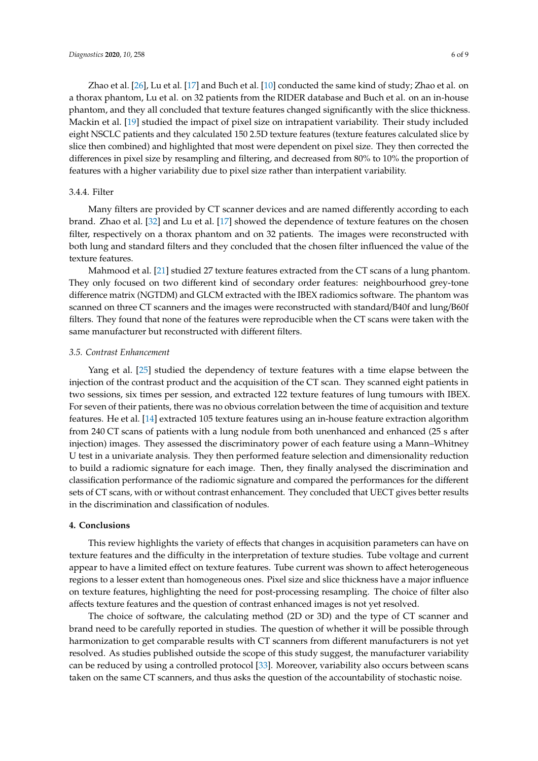Zhao et al. [\[26\]](#page-7-12), Lu et al. [\[17\]](#page-7-3) and Buch et al. [\[10\]](#page-6-9) conducted the same kind of study; Zhao et al. on a thorax phantom, Lu et al. on 32 patients from the RIDER database and Buch et al. on an in-house phantom, and they all concluded that texture features changed significantly with the slice thickness. Mackin et al. [\[19\]](#page-7-5) studied the impact of pixel size on intrapatient variability. Their study included eight NSCLC patients and they calculated 150 2.5D texture features (texture features calculated slice by slice then combined) and highlighted that most were dependent on pixel size. They then corrected the differences in pixel size by resampling and filtering, and decreased from 80% to 10% the proportion of features with a higher variability due to pixel size rather than interpatient variability.

# 3.4.4. Filter

Many filters are provided by CT scanner devices and are named differently according to each brand. Zhao et al. [\[32\]](#page-8-0) and Lu et al. [\[17\]](#page-7-3) showed the dependence of texture features on the chosen filter, respectively on a thorax phantom and on 32 patients. The images were reconstructed with both lung and standard filters and they concluded that the chosen filter influenced the value of the texture features.

Mahmood et al. [\[21\]](#page-7-7) studied 27 texture features extracted from the CT scans of a lung phantom. They only focused on two different kind of secondary order features: neighbourhood grey-tone difference matrix (NGTDM) and GLCM extracted with the IBEX radiomics software. The phantom was scanned on three CT scanners and the images were reconstructed with standard/B40f and lung/B60f filters. They found that none of the features were reproducible when the CT scans were taken with the same manufacturer but reconstructed with different filters.

# *3.5. Contrast Enhancement*

Yang et al. [\[25\]](#page-7-11) studied the dependency of texture features with a time elapse between the injection of the contrast product and the acquisition of the CT scan. They scanned eight patients in two sessions, six times per session, and extracted 122 texture features of lung tumours with IBEX. For seven of their patients, there was no obvious correlation between the time of acquisition and texture features. He et al. [\[14\]](#page-7-0) extracted 105 texture features using an in-house feature extraction algorithm from 240 CT scans of patients with a lung nodule from both unenhanced and enhanced (25 s after injection) images. They assessed the discriminatory power of each feature using a Mann–Whitney U test in a univariate analysis. They then performed feature selection and dimensionality reduction to build a radiomic signature for each image. Then, they finally analysed the discrimination and classification performance of the radiomic signature and compared the performances for the different sets of CT scans, with or without contrast enhancement. They concluded that UECT gives better results in the discrimination and classification of nodules.

# **4. Conclusions**

This review highlights the variety of effects that changes in acquisition parameters can have on texture features and the difficulty in the interpretation of texture studies. Tube voltage and current appear to have a limited effect on texture features. Tube current was shown to affect heterogeneous regions to a lesser extent than homogeneous ones. Pixel size and slice thickness have a major influence on texture features, highlighting the need for post-processing resampling. The choice of filter also affects texture features and the question of contrast enhanced images is not yet resolved.

The choice of software, the calculating method (2D or 3D) and the type of CT scanner and brand need to be carefully reported in studies. The question of whether it will be possible through harmonization to get comparable results with CT scanners from different manufacturers is not yet resolved. As studies published outside the scope of this study suggest, the manufacturer variability can be reduced by using a controlled protocol [\[33\]](#page-8-1). Moreover, variability also occurs between scans taken on the same CT scanners, and thus asks the question of the accountability of stochastic noise.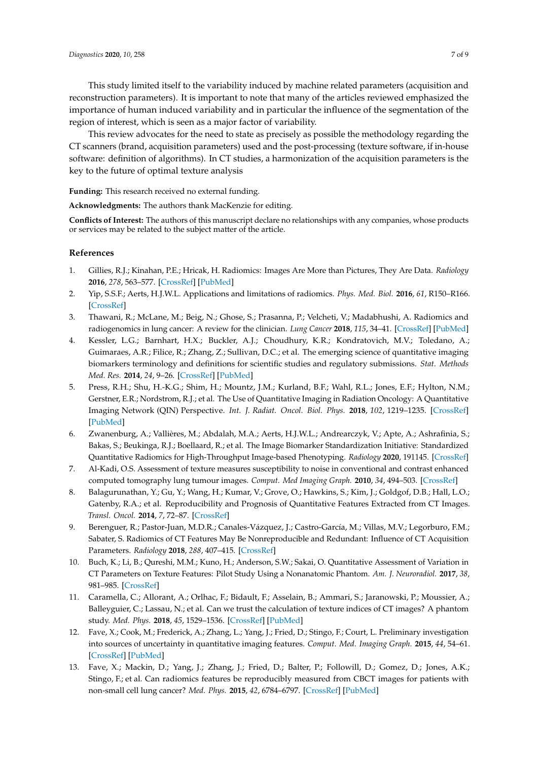This study limited itself to the variability induced by machine related parameters (acquisition and reconstruction parameters). It is important to note that many of the articles reviewed emphasized the importance of human induced variability and in particular the influence of the segmentation of the region of interest, which is seen as a major factor of variability.

This review advocates for the need to state as precisely as possible the methodology regarding the CT scanners (brand, acquisition parameters) used and the post-processing (texture software, if in-house software: definition of algorithms). In CT studies, a harmonization of the acquisition parameters is the key to the future of optimal texture analysis

**Funding:** This research received no external funding.

**Acknowledgments:** The authors thank MacKenzie for editing.

**Conflicts of Interest:** The authors of this manuscript declare no relationships with any companies, whose products or services may be related to the subject matter of the article.

# **References**

- <span id="page-6-0"></span>1. Gillies, R.J.; Kinahan, P.E.; Hricak, H. Radiomics: Images Are More than Pictures, They Are Data. *Radiology* **2016**, *278*, 563–577. [\[CrossRef\]](http://dx.doi.org/10.1148/radiol.2015151169) [\[PubMed\]](http://www.ncbi.nlm.nih.gov/pubmed/26579733)
- <span id="page-6-1"></span>2. Yip, S.S.F.; Aerts, H.J.W.L. Applications and limitations of radiomics. *Phys. Med. Biol.* **2016**, *61*, R150–R166. [\[CrossRef\]](http://dx.doi.org/10.1088/0031-9155/61/13/R150)
- <span id="page-6-2"></span>3. Thawani, R.; McLane, M.; Beig, N.; Ghose, S.; Prasanna, P.; Velcheti, V.; Madabhushi, A. Radiomics and radiogenomics in lung cancer: A review for the clinician. *Lung Cancer* **2018**, *115*, 34–41. [\[CrossRef\]](http://dx.doi.org/10.1016/j.lungcan.2017.10.015) [\[PubMed\]](http://www.ncbi.nlm.nih.gov/pubmed/29290259)
- <span id="page-6-3"></span>4. Kessler, L.G.; Barnhart, H.X.; Buckler, A.J.; Choudhury, K.R.; Kondratovich, M.V.; Toledano, A.; Guimaraes, A.R.; Filice, R.; Zhang, Z.; Sullivan, D.C.; et al. The emerging science of quantitative imaging biomarkers terminology and definitions for scientific studies and regulatory submissions. *Stat. Methods Med. Res.* **2014**, *24*, 9–26. [\[CrossRef\]](http://dx.doi.org/10.1177/0962280214537333) [\[PubMed\]](http://www.ncbi.nlm.nih.gov/pubmed/24919826)
- <span id="page-6-4"></span>5. Press, R.H.; Shu, H.-K.G.; Shim, H.; Mountz, J.M.; Kurland, B.F.; Wahl, R.L.; Jones, E.F.; Hylton, N.M.; Gerstner, E.R.; Nordstrom, R.J.; et al. The Use of Quantitative Imaging in Radiation Oncology: A Quantitative Imaging Network (QIN) Perspective. *Int. J. Radiat. Oncol. Biol. Phys.* **2018**, *102*, 1219–1235. [\[CrossRef\]](http://dx.doi.org/10.1016/j.ijrobp.2018.06.023) [\[PubMed\]](http://www.ncbi.nlm.nih.gov/pubmed/29966725)
- <span id="page-6-5"></span>6. Zwanenburg, A.; Vallières, M.; Abdalah, M.A.; Aerts, H.J.W.L.; Andrearczyk, V.; Apte, A.; Ashrafinia, S.; Bakas, S.; Beukinga, R.J.; Boellaard, R.; et al. The Image Biomarker Standardization Initiative: Standardized Quantitative Radiomics for High-Throughput Image-based Phenotyping. *Radiology* **2020**, 191145. [\[CrossRef\]](http://dx.doi.org/10.1148/radiol.2020191145)
- <span id="page-6-6"></span>7. Al-Kadi, O.S. Assessment of texture measures susceptibility to noise in conventional and contrast enhanced computed tomography lung tumour images. *Comput. Med Imaging Graph.* **2010**, *34*, 494–503. [\[CrossRef\]](http://dx.doi.org/10.1016/j.compmedimag.2009.12.011)
- <span id="page-6-7"></span>8. Balagurunathan, Y.; Gu, Y.; Wang, H.; Kumar, V.; Grove, O.; Hawkins, S.; Kim, J.; Goldgof, D.B.; Hall, L.O.; Gatenby, R.A.; et al. Reproducibility and Prognosis of Quantitative Features Extracted from CT Images. *Transl. Oncol.* **2014**, *7*, 72–87. [\[CrossRef\]](http://dx.doi.org/10.1593/tlo.13844)
- <span id="page-6-8"></span>9. Berenguer, R.; Pastor-Juan, M.D.R.; Canales-Vázquez, J.; Castro-García, M.; Villas, M.V.; Legorburo, F.M.; Sabater, S. Radiomics of CT Features May Be Nonreproducible and Redundant: Influence of CT Acquisition Parameters. *Radiology* **2018**, *288*, 407–415. [\[CrossRef\]](http://dx.doi.org/10.1148/radiol.2018172361)
- <span id="page-6-9"></span>10. Buch, K.; Li, B.; Qureshi, M.M.; Kuno, H.; Anderson, S.W.; Sakai, O. Quantitative Assessment of Variation in CT Parameters on Texture Features: Pilot Study Using a Nonanatomic Phantom. *Am. J. Neuroradiol.* **2017**, *38*, 981–985. [\[CrossRef\]](http://dx.doi.org/10.3174/ajnr.A5139)
- <span id="page-6-10"></span>11. Caramella, C.; Allorant, A.; Orlhac, F.; Bidault, F.; Asselain, B.; Ammari, S.; Jaranowski, P.; Moussier, A.; Balleyguier, C.; Lassau, N.; et al. Can we trust the calculation of texture indices of CT images? A phantom study. *Med. Phys.* **2018**, *45*, 1529–1536. [\[CrossRef\]](http://dx.doi.org/10.1002/mp.12809) [\[PubMed\]](http://www.ncbi.nlm.nih.gov/pubmed/29443389)
- <span id="page-6-11"></span>12. Fave, X.; Cook, M.; Frederick, A.; Zhang, L.; Yang, J.; Fried, D.; Stingo, F.; Court, L. Preliminary investigation into sources of uncertainty in quantitative imaging features. *Comput. Med. Imaging Graph.* **2015**, *44*, 54–61. [\[CrossRef\]](http://dx.doi.org/10.1016/j.compmedimag.2015.04.006) [\[PubMed\]](http://www.ncbi.nlm.nih.gov/pubmed/26004695)
- <span id="page-6-12"></span>13. Fave, X.; Mackin, D.; Yang, J.; Zhang, J.; Fried, D.; Balter, P.; Followill, D.; Gomez, D.; Jones, A.K.; Stingo, F.; et al. Can radiomics features be reproducibly measured from CBCT images for patients with non-small cell lung cancer? *Med. Phys.* **2015**, *42*, 6784–6797. [\[CrossRef\]](http://dx.doi.org/10.1118/1.4934826) [\[PubMed\]](http://www.ncbi.nlm.nih.gov/pubmed/26632036)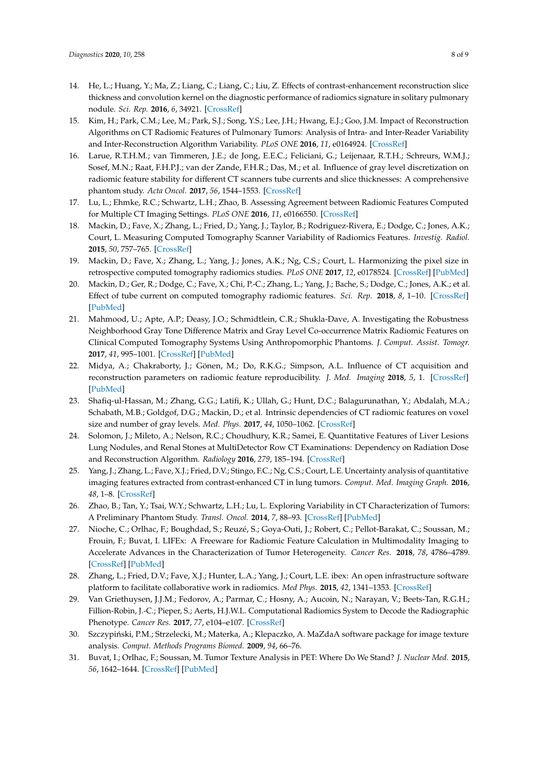- <span id="page-7-0"></span>14. He, L.; Huang, Y.; Ma, Z.; Liang, C.; Liang, C.; Liu, Z. Effects of contrast-enhancement reconstruction slice thickness and convolution kernel on the diagnostic performance of radiomics signature in solitary pulmonary nodule. *Sci. Rep.* **2016**, *6*, 34921. [\[CrossRef\]](http://dx.doi.org/10.1038/srep34921)
- <span id="page-7-1"></span>15. Kim, H.; Park, C.M.; Lee, M.; Park, S.J.; Song, Y.S.; Lee, J.H.; Hwang, E.J.; Goo, J.M. Impact of Reconstruction Algorithms on CT Radiomic Features of Pulmonary Tumors: Analysis of Intra- and Inter-Reader Variability and Inter-Reconstruction Algorithm Variability. *PLoS ONE* **2016**, *11*, e0164924. [\[CrossRef\]](http://dx.doi.org/10.1371/journal.pone.0164924)
- <span id="page-7-2"></span>16. Larue, R.T.H.M.; van Timmeren, J.E.; de Jong, E.E.C.; Feliciani, G.; Leijenaar, R.T.H.; Schreurs, W.M.J.; Sosef, M.N.; Raat, F.H.P.J.; van der Zande, F.H.R.; Das, M.; et al. Influence of gray level discretization on radiomic feature stability for different CT scanners tube currents and slice thicknesses: A comprehensive phantom study. *Acta Oncol.* **2017**, *56*, 1544–1553. [\[CrossRef\]](http://dx.doi.org/10.1080/0284186X.2017.1351624)
- <span id="page-7-3"></span>17. Lu, L.; Ehmke, R.C.; Schwartz, L.H.; Zhao, B. Assessing Agreement between Radiomic Features Computed for Multiple CT Imaging Settings. *PLoS ONE* **2016**, *11*, e0166550. [\[CrossRef\]](http://dx.doi.org/10.1371/journal.pone.0166550)
- <span id="page-7-4"></span>18. Mackin, D.; Fave, X.; Zhang, L.; Fried, D.; Yang, J.; Taylor, B.; Rodriguez-Rivera, E.; Dodge, C.; Jones, A.K.; Court, L. Measuring Computed Tomography Scanner Variability of Radiomics Features. *Investig. Radiol.* **2015**, *50*, 757–765. [\[CrossRef\]](http://dx.doi.org/10.1097/RLI.0000000000000180)
- <span id="page-7-5"></span>19. Mackin, D.; Fave, X.; Zhang, L.; Yang, J.; Jones, A.K.; Ng, C.S.; Court, L. Harmonizing the pixel size in retrospective computed tomography radiomics studies. *PLoS ONE* **2017**, *12*, e0178524. [\[CrossRef\]](http://dx.doi.org/10.1371/journal.pone.0178524) [\[PubMed\]](http://www.ncbi.nlm.nih.gov/pubmed/28934225)
- <span id="page-7-6"></span>20. Mackin, D.; Ger, R.; Dodge, C.; Fave, X.; Chi, P.-C.; Zhang, L.; Yang, J.; Bache, S.; Dodge, C.; Jones, A.K.; et al. Effect of tube current on computed tomography radiomic features. *Sci. Rep.* **2018**, *8*, 1–10. [\[CrossRef\]](http://dx.doi.org/10.1038/s41598-018-20713-6) [\[PubMed\]](http://www.ncbi.nlm.nih.gov/pubmed/29403060)
- <span id="page-7-7"></span>21. Mahmood, U.; Apte, A.P.; Deasy, J.O.; Schmidtlein, C.R.; Shukla-Dave, A. Investigating the Robustness Neighborhood Gray Tone Difference Matrix and Gray Level Co-occurrence Matrix Radiomic Features on Clinical Computed Tomography Systems Using Anthropomorphic Phantoms. *J. Comput. Assist. Tomogr.* **2017**, *41*, 995–1001. [\[CrossRef\]](http://dx.doi.org/10.1097/RCT.0000000000000632) [\[PubMed\]](http://www.ncbi.nlm.nih.gov/pubmed/28708732)
- <span id="page-7-8"></span>22. Midya, A.; Chakraborty, J.; Gönen, M.; Do, R.K.G.; Simpson, A.L. Influence of CT acquisition and reconstruction parameters on radiomic feature reproducibility. *J. Med. Imaging* **2018**, *5*, 1. [\[CrossRef\]](http://dx.doi.org/10.1117/1.JMI.5.1.011020) [\[PubMed\]](http://www.ncbi.nlm.nih.gov/pubmed/29487877)
- <span id="page-7-9"></span>23. Shafiq-ul-Hassan, M.; Zhang, G.G.; Latifi, K.; Ullah, G.; Hunt, D.C.; Balagurunathan, Y.; Abdalah, M.A.; Schabath, M.B.; Goldgof, D.G.; Mackin, D.; et al. Intrinsic dependencies of CT radiomic features on voxel size and number of gray levels. *Med. Phys.* **2017**, *44*, 1050–1062. [\[CrossRef\]](http://dx.doi.org/10.1002/mp.12123)
- <span id="page-7-10"></span>24. Solomon, J.; Mileto, A.; Nelson, R.C.; Choudhury, K.R.; Samei, E. Quantitative Features of Liver Lesions Lung Nodules, and Renal Stones at MultiDetector Row CT Examinations: Dependency on Radiation Dose and Reconstruction Algorithm. *Radiology* **2016**, *279*, 185–194. [\[CrossRef\]](http://dx.doi.org/10.1148/radiol.2015150892)
- <span id="page-7-11"></span>25. Yang, J.; Zhang, L.; Fave, X.J.; Fried, D.V.; Stingo, F.C.; Ng, C.S.; Court, L.E. Uncertainty analysis of quantitative imaging features extracted from contrast-enhanced CT in lung tumors. *Comput. Med. Imaging Graph.* **2016**, *48*, 1–8. [\[CrossRef\]](http://dx.doi.org/10.1016/j.compmedimag.2015.12.001)
- <span id="page-7-12"></span>26. Zhao, B.; Tan, Y.; Tsai, W.Y.; Schwartz, L.H.; Lu, L. Exploring Variability in CT Characterization of Tumors: A Preliminary Phantom Study. *Transl. Oncol.* **2014**, *7*, 88–93. [\[CrossRef\]](http://dx.doi.org/10.1593/tlo.13865) [\[PubMed\]](http://www.ncbi.nlm.nih.gov/pubmed/24772211)
- <span id="page-7-13"></span>27. Nioche, C.; Orlhac, F.; Boughdad, S.; Reuzé, S.; Goya-Outi, J.; Robert, C.; Pellot-Barakat, C.; Soussan, M.; Frouin, F.; Buvat, I. LIFEx: A Freeware for Radiomic Feature Calculation in Multimodality Imaging to Accelerate Advances in the Characterization of Tumor Heterogeneity. *Cancer Res.* **2018**, *78*, 4786–4789. [\[CrossRef\]](http://dx.doi.org/10.1158/0008-5472.CAN-18-0125) [\[PubMed\]](http://www.ncbi.nlm.nih.gov/pubmed/29959149)
- <span id="page-7-14"></span>28. Zhang, L.; Fried, D.V.; Fave, X.J.; Hunter, L.A.; Yang, J.; Court, L.E. ibex: An open infrastructure software platform to facilitate collaborative work in radiomics. *Med Phys.* **2015**, *42*, 1341–1353. [\[CrossRef\]](http://dx.doi.org/10.1118/1.4908210)
- <span id="page-7-15"></span>29. Van Griethuysen, J.J.M.; Fedorov, A.; Parmar, C.; Hosny, A.; Aucoin, N.; Narayan, V.; Beets-Tan, R.G.H.; Fillion-Robin, J.-C.; Pieper, S.; Aerts, H.J.W.L. Computational Radiomics System to Decode the Radiographic Phenotype. *Cancer Res.* **2017**, *77*, e104–e107. [\[CrossRef\]](http://dx.doi.org/10.1158/0008-5472.CAN-17-0339)
- <span id="page-7-16"></span>30. Szczypiński, P.M.; Strzelecki, M.; Materka, A.; Klepaczko, A. MaZdaA software package for image texture analysis. *Comput. Methods Programs Biomed.* **2009**, *94*, 66–76.
- <span id="page-7-17"></span>31. Buvat, I.; Orlhac, F.; Soussan, M. Tumor Texture Analysis in PET: Where Do We Stand? *J. Nuclear Med.* **2015**, *56*, 1642–1644. [\[CrossRef\]](http://dx.doi.org/10.2967/jnumed.115.163469) [\[PubMed\]](http://www.ncbi.nlm.nih.gov/pubmed/26294296)